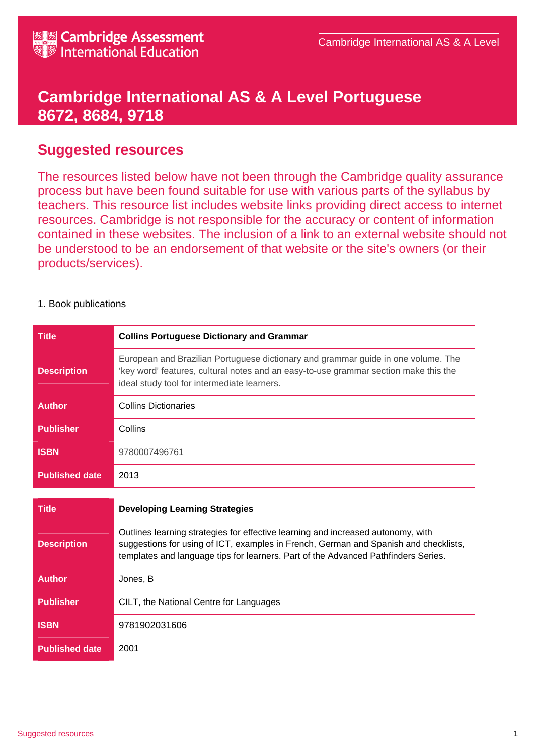## **Cambridge International AS & A Level Portuguese 8672, 8684, 9718**

## **Suggested resources**

The resources listed below have not been through the Cambridge quality assurance process but have been found suitable for use with various parts of the syllabus by teachers. This resource list includes website links providing direct access to internet resources. Cambridge is not responsible for the accuracy or content of information contained in these websites. The inclusion of a link to an external website should not be understood to be an endorsement of that website or the site's owners (or their products/services).

## 1. Book publications

| <b>Title</b>          | <b>Collins Portuguese Dictionary and Grammar</b>                                                                                                                                                                                                               |
|-----------------------|----------------------------------------------------------------------------------------------------------------------------------------------------------------------------------------------------------------------------------------------------------------|
| <b>Description</b>    | European and Brazilian Portuguese dictionary and grammar guide in one volume. The<br>'key word' features, cultural notes and an easy-to-use grammar section make this the<br>ideal study tool for intermediate learners.                                       |
| <b>Author</b>         | <b>Collins Dictionaries</b>                                                                                                                                                                                                                                    |
| <b>Publisher</b>      | Collins                                                                                                                                                                                                                                                        |
| <b>ISBN</b>           | 9780007496761                                                                                                                                                                                                                                                  |
| <b>Published date</b> | 2013                                                                                                                                                                                                                                                           |
|                       |                                                                                                                                                                                                                                                                |
|                       |                                                                                                                                                                                                                                                                |
| <b>Title</b>          | <b>Developing Learning Strategies</b>                                                                                                                                                                                                                          |
| <b>Description</b>    | Outlines learning strategies for effective learning and increased autonomy, with<br>suggestions for using of ICT, examples in French, German and Spanish and checklists,<br>templates and language tips for learners. Part of the Advanced Pathfinders Series. |
| <b>Author</b>         | Jones, B                                                                                                                                                                                                                                                       |
| <b>Publisher</b>      | CILT, the National Centre for Languages                                                                                                                                                                                                                        |
| <b>ISBN</b>           | 9781902031606                                                                                                                                                                                                                                                  |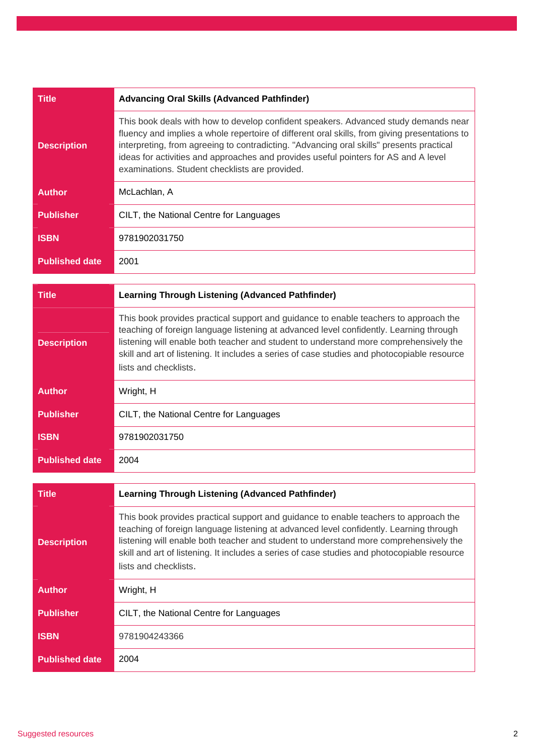| Title                 | <b>Advancing Oral Skills (Advanced Pathfinder)</b>                                                                                                                                                                                                                                                                                                                                                                        |
|-----------------------|---------------------------------------------------------------------------------------------------------------------------------------------------------------------------------------------------------------------------------------------------------------------------------------------------------------------------------------------------------------------------------------------------------------------------|
| <b>Description</b>    | This book deals with how to develop confident speakers. Advanced study demands near<br>fluency and implies a whole repertoire of different oral skills, from giving presentations to<br>interpreting, from agreeing to contradicting. "Advancing oral skills" presents practical<br>ideas for activities and approaches and provides useful pointers for AS and A level<br>examinations. Student checklists are provided. |
| <b>Author</b>         | McLachlan, A                                                                                                                                                                                                                                                                                                                                                                                                              |
| <b>Publisher</b>      | CILT, the National Centre for Languages                                                                                                                                                                                                                                                                                                                                                                                   |
| <b>ISBN</b>           | 9781902031750                                                                                                                                                                                                                                                                                                                                                                                                             |
| <b>Published date</b> | 2001                                                                                                                                                                                                                                                                                                                                                                                                                      |

| Title                 | <b>Learning Through Listening (Advanced Pathfinder)</b>                                                                                                                                                                                                                                                                                                                                         |
|-----------------------|-------------------------------------------------------------------------------------------------------------------------------------------------------------------------------------------------------------------------------------------------------------------------------------------------------------------------------------------------------------------------------------------------|
| <b>Description</b>    | This book provides practical support and guidance to enable teachers to approach the<br>teaching of foreign language listening at advanced level confidently. Learning through<br>listening will enable both teacher and student to understand more comprehensively the<br>skill and art of listening. It includes a series of case studies and photocopiable resource<br>lists and checklists. |
| <b>Author</b>         | Wright, H                                                                                                                                                                                                                                                                                                                                                                                       |
| <b>Publisher</b>      | CILT, the National Centre for Languages                                                                                                                                                                                                                                                                                                                                                         |
| <b>ISBN</b>           | 9781902031750                                                                                                                                                                                                                                                                                                                                                                                   |
| <b>Published date</b> | 2004                                                                                                                                                                                                                                                                                                                                                                                            |

| Title                 | <b>Learning Through Listening (Advanced Pathfinder)</b>                                                                                                                                                                                                                                                                                                                                         |
|-----------------------|-------------------------------------------------------------------------------------------------------------------------------------------------------------------------------------------------------------------------------------------------------------------------------------------------------------------------------------------------------------------------------------------------|
| <b>Description</b>    | This book provides practical support and guidance to enable teachers to approach the<br>teaching of foreign language listening at advanced level confidently. Learning through<br>listening will enable both teacher and student to understand more comprehensively the<br>skill and art of listening. It includes a series of case studies and photocopiable resource<br>lists and checklists. |
| <b>Author</b>         | Wright, H                                                                                                                                                                                                                                                                                                                                                                                       |
| <b>Publisher</b>      | CILT, the National Centre for Languages                                                                                                                                                                                                                                                                                                                                                         |
| <b>ISBN</b>           | 9781904243366                                                                                                                                                                                                                                                                                                                                                                                   |
| <b>Published date</b> | 2004                                                                                                                                                                                                                                                                                                                                                                                            |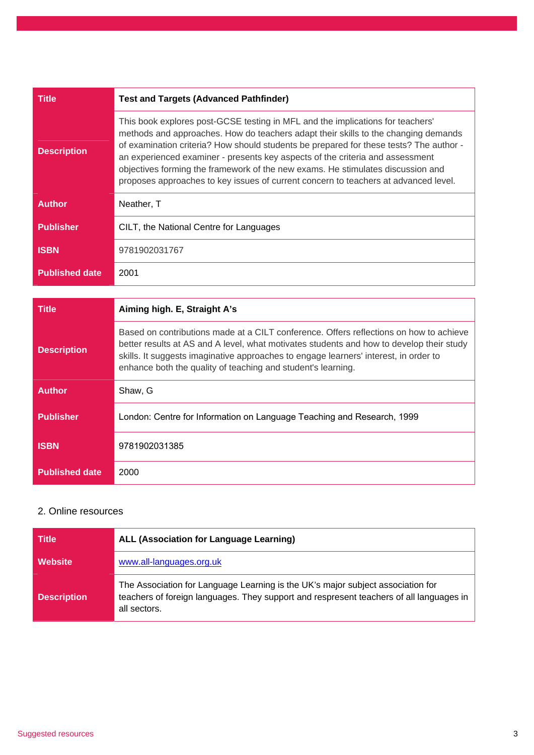| Title                 | <b>Test and Targets (Advanced Pathfinder)</b>                                                                                                                                                                                                                                                                                                                                                                                                                                                                             |
|-----------------------|---------------------------------------------------------------------------------------------------------------------------------------------------------------------------------------------------------------------------------------------------------------------------------------------------------------------------------------------------------------------------------------------------------------------------------------------------------------------------------------------------------------------------|
| <b>Description</b>    | This book explores post-GCSE testing in MFL and the implications for teachers'<br>methods and approaches. How do teachers adapt their skills to the changing demands<br>of examination criteria? How should students be prepared for these tests? The author -<br>an experienced examiner - presents key aspects of the criteria and assessment<br>objectives forming the framework of the new exams. He stimulates discussion and<br>proposes approaches to key issues of current concern to teachers at advanced level. |
| <b>Author</b>         | Neather, T                                                                                                                                                                                                                                                                                                                                                                                                                                                                                                                |
| <b>Publisher</b>      | CILT, the National Centre for Languages                                                                                                                                                                                                                                                                                                                                                                                                                                                                                   |
| <b>ISBN</b>           | 9781902031767                                                                                                                                                                                                                                                                                                                                                                                                                                                                                                             |
| <b>Published date</b> | 2001                                                                                                                                                                                                                                                                                                                                                                                                                                                                                                                      |

| Title                 | Aiming high. E, Straight A's                                                                                                                                                                                                                                                                                                               |
|-----------------------|--------------------------------------------------------------------------------------------------------------------------------------------------------------------------------------------------------------------------------------------------------------------------------------------------------------------------------------------|
| <b>Description</b>    | Based on contributions made at a CILT conference. Offers reflections on how to achieve<br>better results at AS and A level, what motivates students and how to develop their study<br>skills. It suggests imaginative approaches to engage learners' interest, in order to<br>enhance both the quality of teaching and student's learning. |
| <b>Author</b>         | Shaw. G                                                                                                                                                                                                                                                                                                                                    |
| <b>Publisher</b>      | London: Centre for Information on Language Teaching and Research, 1999                                                                                                                                                                                                                                                                     |
| <b>ISBN</b>           | 9781902031385                                                                                                                                                                                                                                                                                                                              |
| <b>Published date</b> | 2000                                                                                                                                                                                                                                                                                                                                       |

## 2. Online resources

| Title              | <b>ALL (Association for Language Learning)</b>                                                                                                                                             |
|--------------------|--------------------------------------------------------------------------------------------------------------------------------------------------------------------------------------------|
| Website            | www.all-languages.org.uk                                                                                                                                                                   |
| <b>Description</b> | The Association for Language Learning is the UK's major subject association for<br>teachers of foreign languages. They support and respresent teachers of all languages in<br>all sectors. |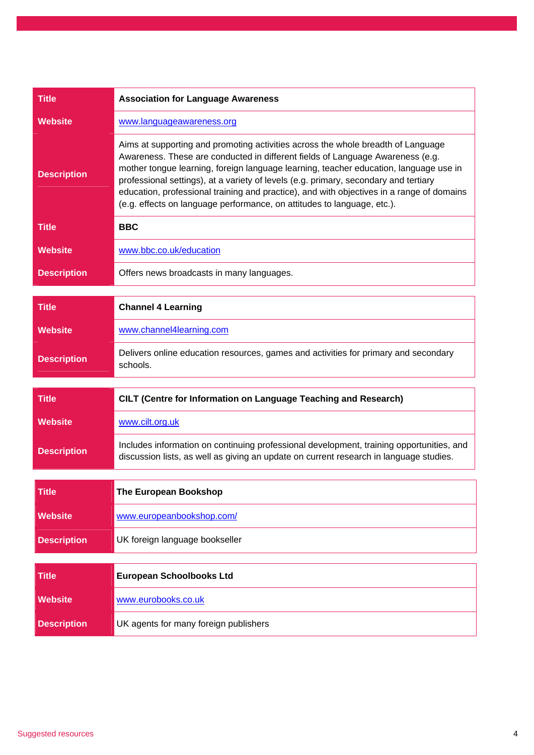| <b>Title</b>       | <b>Association for Language Awareness</b>                                                                                                                                                                                                                                                                                                                                                                                                                                                                                   |
|--------------------|-----------------------------------------------------------------------------------------------------------------------------------------------------------------------------------------------------------------------------------------------------------------------------------------------------------------------------------------------------------------------------------------------------------------------------------------------------------------------------------------------------------------------------|
| <b>Website</b>     | www.languageawareness.org                                                                                                                                                                                                                                                                                                                                                                                                                                                                                                   |
| <b>Description</b> | Aims at supporting and promoting activities across the whole breadth of Language<br>Awareness. These are conducted in different fields of Language Awareness (e.g.<br>mother tongue learning, foreign language learning, teacher education, language use in<br>professional settings), at a variety of levels (e.g. primary, secondary and tertiary<br>education, professional training and practice), and with objectives in a range of domains<br>(e.g. effects on language performance, on attitudes to language, etc.). |
| <b>Title</b>       | <b>BBC</b>                                                                                                                                                                                                                                                                                                                                                                                                                                                                                                                  |
| <b>Website</b>     | www.bbc.co.uk/education                                                                                                                                                                                                                                                                                                                                                                                                                                                                                                     |
| <b>Description</b> | Offers news broadcasts in many languages.                                                                                                                                                                                                                                                                                                                                                                                                                                                                                   |
| <b>Title</b>       | <b>Channel 4 Learning</b>                                                                                                                                                                                                                                                                                                                                                                                                                                                                                                   |
| <b>Website</b>     | www.channel4learning.com                                                                                                                                                                                                                                                                                                                                                                                                                                                                                                    |
| <b>Description</b> | Delivers online education resources, games and activities for primary and secondary<br>schools.                                                                                                                                                                                                                                                                                                                                                                                                                             |
| <b>Title</b>       | CILT (Centre for Information on Language Teaching and Research)                                                                                                                                                                                                                                                                                                                                                                                                                                                             |
| <b>Website</b>     | www.cilt.org.uk                                                                                                                                                                                                                                                                                                                                                                                                                                                                                                             |
|                    |                                                                                                                                                                                                                                                                                                                                                                                                                                                                                                                             |
| <b>Description</b> | Includes information on continuing professional development, training opportunities, and<br>discussion lists, as well as giving an update on current research in language studies.                                                                                                                                                                                                                                                                                                                                          |
| <b>Title</b>       | The European Bookshop                                                                                                                                                                                                                                                                                                                                                                                                                                                                                                       |
| <b>Website</b>     | www.europeanbookshop.com/                                                                                                                                                                                                                                                                                                                                                                                                                                                                                                   |
|                    |                                                                                                                                                                                                                                                                                                                                                                                                                                                                                                                             |
| <b>Description</b> | UK foreign language bookseller                                                                                                                                                                                                                                                                                                                                                                                                                                                                                              |
| <b>Title</b>       | <b>European Schoolbooks Ltd</b>                                                                                                                                                                                                                                                                                                                                                                                                                                                                                             |
| <b>Website</b>     | www.eurobooks.co.uk                                                                                                                                                                                                                                                                                                                                                                                                                                                                                                         |
| <b>Description</b> | UK agents for many foreign publishers                                                                                                                                                                                                                                                                                                                                                                                                                                                                                       |